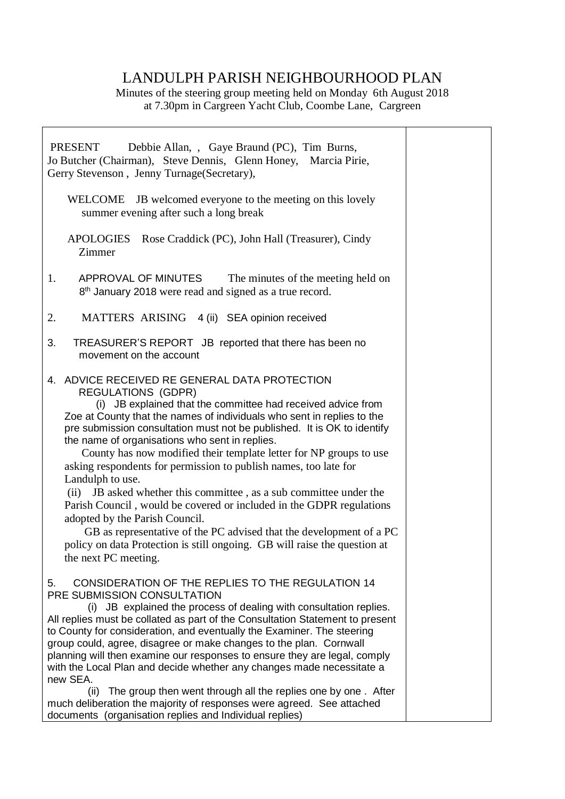# LANDULPH PARISH NEIGHBOURHOOD PLAN

Minutes of the steering group meeting held on Monday 6th August 2018 at 7.30pm in Cargreen Yacht Club, Coombe Lane, Cargreen

| PRESENT<br>Debbie Allan, , Gaye Braund (PC), Tim Burns,<br>Jo Butcher (Chairman), Steve Dennis, Glenn Honey, Marcia Pirie,<br>Gerry Stevenson, Jenny Turnage (Secretary),                                                                                                                                                                                                                                                                                                                                                                                                                                                                                                                                                                                                                                                                                                   |  |
|-----------------------------------------------------------------------------------------------------------------------------------------------------------------------------------------------------------------------------------------------------------------------------------------------------------------------------------------------------------------------------------------------------------------------------------------------------------------------------------------------------------------------------------------------------------------------------------------------------------------------------------------------------------------------------------------------------------------------------------------------------------------------------------------------------------------------------------------------------------------------------|--|
| WELCOME JB welcomed everyone to the meeting on this lovely<br>summer evening after such a long break                                                                                                                                                                                                                                                                                                                                                                                                                                                                                                                                                                                                                                                                                                                                                                        |  |
| <b>APOLOGIES</b><br>Rose Craddick (PC), John Hall (Treasurer), Cindy<br>Zimmer                                                                                                                                                                                                                                                                                                                                                                                                                                                                                                                                                                                                                                                                                                                                                                                              |  |
| APPROVAL OF MINUTES<br>The minutes of the meeting held on<br>1.<br>8 <sup>th</sup> January 2018 were read and signed as a true record.                                                                                                                                                                                                                                                                                                                                                                                                                                                                                                                                                                                                                                                                                                                                      |  |
| MATTERS ARISING 4 (ii) SEA opinion received<br>2.                                                                                                                                                                                                                                                                                                                                                                                                                                                                                                                                                                                                                                                                                                                                                                                                                           |  |
| 3.<br>TREASURER'S REPORT JB reported that there has been no<br>movement on the account                                                                                                                                                                                                                                                                                                                                                                                                                                                                                                                                                                                                                                                                                                                                                                                      |  |
| 4. ADVICE RECEIVED RE GENERAL DATA PROTECTION<br><b>REGULATIONS (GDPR)</b><br>(i) JB explained that the committee had received advice from<br>Zoe at County that the names of individuals who sent in replies to the<br>pre submission consultation must not be published. It is OK to identify<br>the name of organisations who sent in replies.<br>County has now modified their template letter for NP groups to use<br>asking respondents for permission to publish names, too late for<br>Landulph to use.<br>(ii) JB asked whether this committee, as a sub committee under the<br>Parish Council, would be covered or included in the GDPR regulations<br>adopted by the Parish Council.<br>GB as representative of the PC advised that the development of a PC<br>policy on data Protection is still ongoing. GB will raise the question at<br>the next PC meeting. |  |
| CONSIDERATION OF THE REPLIES TO THE REGULATION 14<br>5.<br>PRE SUBMISSION CONSULTATION<br>(i) JB explained the process of dealing with consultation replies.<br>All replies must be collated as part of the Consultation Statement to present<br>to County for consideration, and eventually the Examiner. The steering<br>group could, agree, disagree or make changes to the plan. Cornwall<br>planning will then examine our responses to ensure they are legal, comply<br>with the Local Plan and decide whether any changes made necessitate a<br>new SEA.<br>The group then went through all the replies one by one. After<br>(ii)<br>much deliberation the majority of responses were agreed. See attached<br>documents (organisation replies and Individual replies)                                                                                                |  |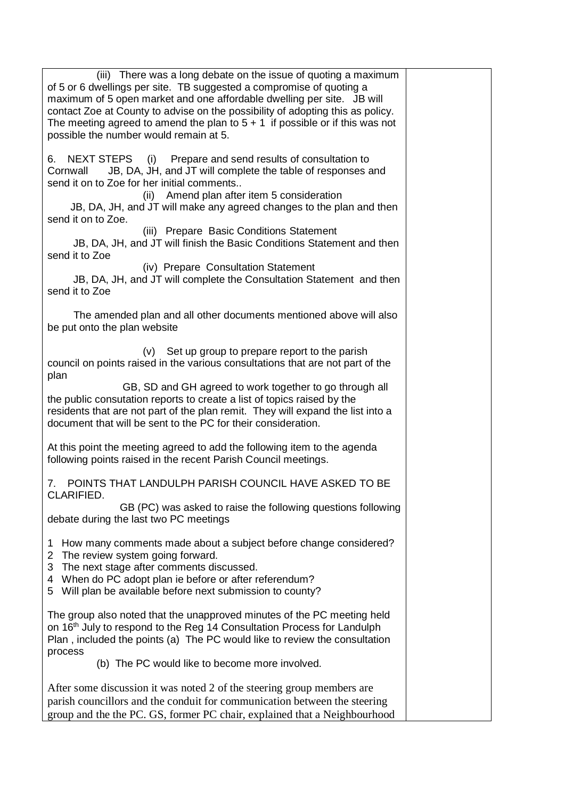| (iii) There was a long debate on the issue of quoting a maximum<br>of 5 or 6 dwellings per site. TB suggested a compromise of quoting a<br>maximum of 5 open market and one affordable dwelling per site. JB will<br>contact Zoe at County to advise on the possibility of adopting this as policy.<br>The meeting agreed to amend the plan to $5 + 1$ if possible or if this was not<br>possible the number would remain at 5. |  |
|---------------------------------------------------------------------------------------------------------------------------------------------------------------------------------------------------------------------------------------------------------------------------------------------------------------------------------------------------------------------------------------------------------------------------------|--|
| Prepare and send results of consultation to<br><b>NEXT STEPS</b><br>(i)<br>6.<br>JB, DA, JH, and JT will complete the table of responses and<br>Cornwall<br>send it on to Zoe for her initial comments<br>(ii) Amend plan after item 5 consideration<br>JB, DA, JH, and JT will make any agreed changes to the plan and then<br>send it on to Zoe.                                                                              |  |
| (iii) Prepare Basic Conditions Statement<br>JB, DA, JH, and JT will finish the Basic Conditions Statement and then<br>send it to Zoe                                                                                                                                                                                                                                                                                            |  |
| (iv) Prepare Consultation Statement<br>JB, DA, JH, and JT will complete the Consultation Statement and then<br>send it to Zoe                                                                                                                                                                                                                                                                                                   |  |
| The amended plan and all other documents mentioned above will also<br>be put onto the plan website                                                                                                                                                                                                                                                                                                                              |  |
| (v) Set up group to prepare report to the parish<br>council on points raised in the various consultations that are not part of the<br>plan<br>GB, SD and GH agreed to work together to go through all                                                                                                                                                                                                                           |  |
| the public consutation reports to create a list of topics raised by the<br>residents that are not part of the plan remit. They will expand the list into a<br>document that will be sent to the PC for their consideration.                                                                                                                                                                                                     |  |
| At this point the meeting agreed to add the following item to the agenda<br>following points raised in the recent Parish Council meetings.                                                                                                                                                                                                                                                                                      |  |
| 7. POINTS THAT LANDULPH PARISH COUNCIL HAVE ASKED TO BE<br>CLARIFIED.                                                                                                                                                                                                                                                                                                                                                           |  |
| GB (PC) was asked to raise the following questions following<br>debate during the last two PC meetings                                                                                                                                                                                                                                                                                                                          |  |
| How many comments made about a subject before change considered?<br>1<br>The review system going forward.<br>2<br>The next stage after comments discussed.<br>3<br>When do PC adopt plan ie before or after referendum?<br>4<br>Will plan be available before next submission to county?<br>5.                                                                                                                                  |  |
| The group also noted that the unapproved minutes of the PC meeting held<br>on 16 <sup>th</sup> July to respond to the Reg 14 Consultation Process for Landulph<br>Plan, included the points (a) The PC would like to review the consultation<br>process<br>(b) The PC would like to become more involved.                                                                                                                       |  |
| After some discussion it was noted 2 of the steering group members are<br>parish councillors and the conduit for communication between the steering<br>group and the the PC. GS, former PC chair, explained that a Neighbourhood                                                                                                                                                                                                |  |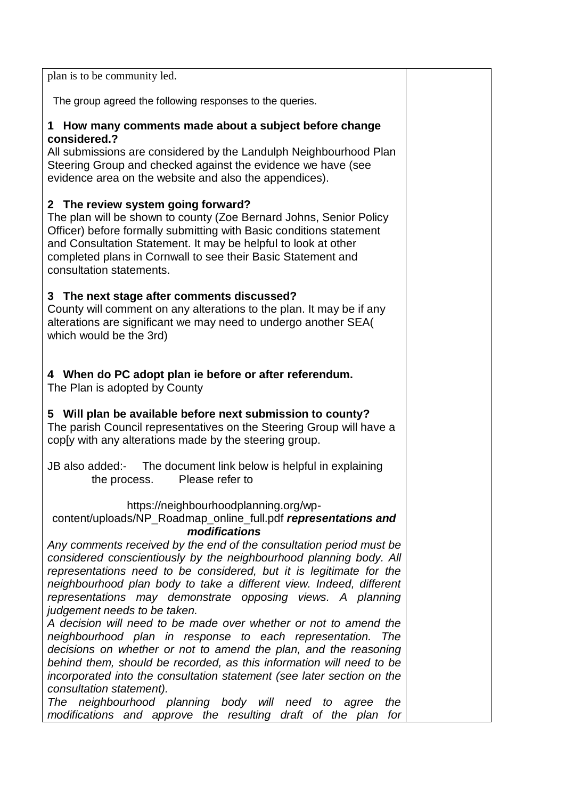plan is to be community led.

The group agreed the following responses to the queries.

#### **1 How many comments made about a subject before change considered.?**

All submissions are considered by the Landulph Neighbourhood Plan Steering Group and checked against the evidence we have (see evidence area on the website and also the appendices).

### **2 The review system going forward?**

The plan will be shown to county (Zoe Bernard Johns, Senior Policy Officer) before formally submitting with Basic conditions statement and Consultation Statement. It may be helpful to look at other completed plans in Cornwall to see their Basic Statement and consultation statements.

## **3 The next stage after comments discussed?**

County will comment on any alterations to the plan. It may be if any alterations are significant we may need to undergo another SEA( which would be the 3rd)

**4 When do PC adopt plan ie before or after referendum.** The Plan is adopted by County

**5 Will plan be available before next submission to county?** The parish Council representatives on the Steering Group will have a cop[y with any alterations made by the steering group.

JB also added:- The document link below is helpful in explaining the process. Please refer to

### https://neighbourhoodplanning.org/wp-

#### content/uploads/NP\_Roadmap\_online\_full.pdf *representations and modifications*

*Any comments received by the end of the consultation period must be considered conscientiously by the neighbourhood planning body. All representations need to be considered, but it is legitimate for the neighbourhood plan body to take a different view. Indeed, different representations may demonstrate opposing views. A planning judgement needs to be taken.*

*A decision will need to be made over whether or not to amend the neighbourhood plan in response to each representation. The decisions on whether or not to amend the plan, and the reasoning behind them, should be recorded, as this information will need to be incorporated into the consultation statement (see later section on the consultation statement).*

*The neighbourhood planning body will need to agree the modifications and approve the resulting draft of the plan for*